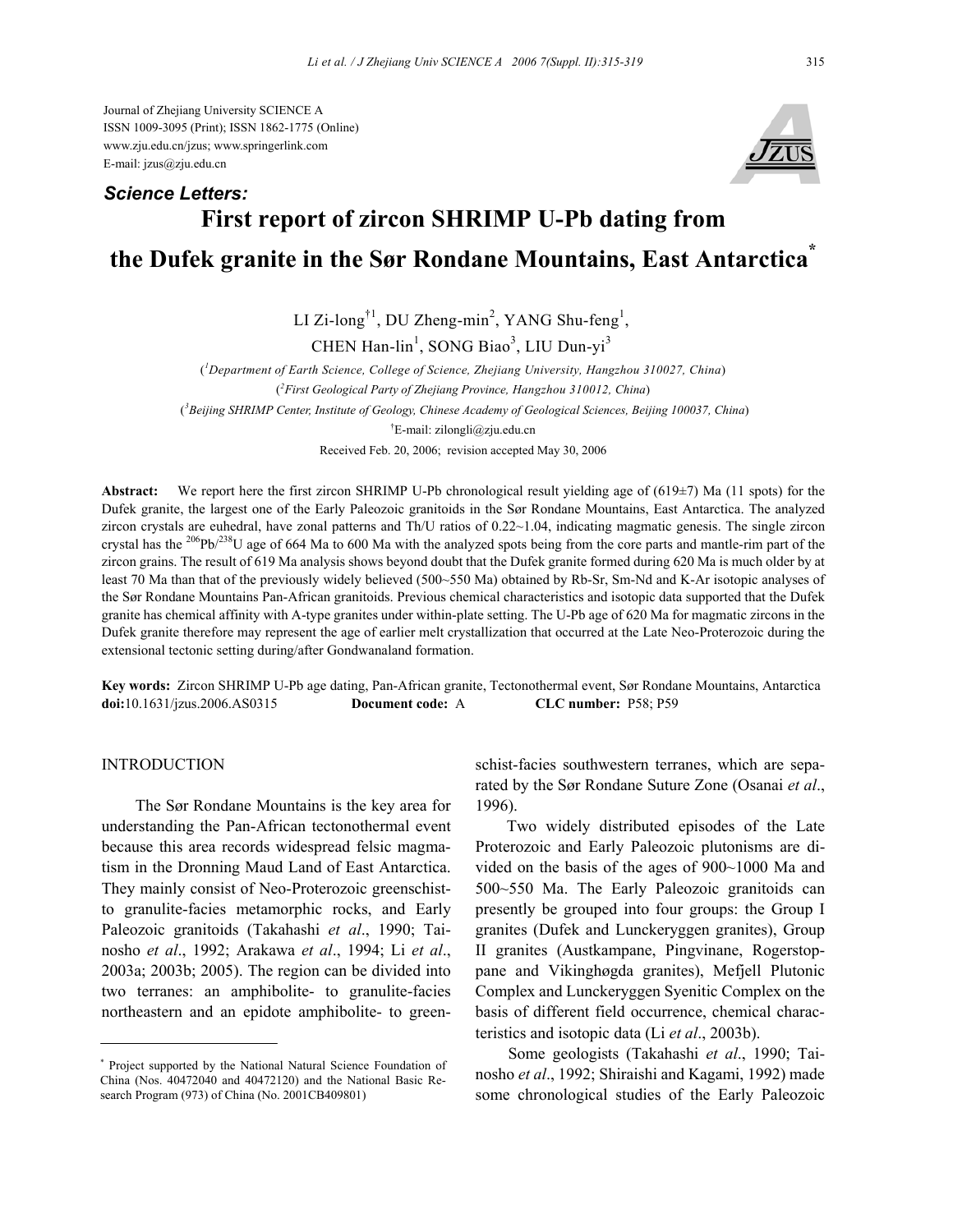Journal of Zhejiang University SCIENCE A ISSN 1009-3095 (Print); ISSN 1862-1775 (Online) www.zju.edu.cn/jzus; www.springerlink.com E-mail: jzus@zju.edu.cn



# **First report of zircon SHRIMP U-Pb dating from the Dufek granite in the Sør Rondane Mountains, East Antarctica\*** *Science Letters:*

LI Zi-long<sup>†1</sup>, DU Zheng-min<sup>2</sup>, YANG Shu-feng<sup>1</sup>, CHEN Han-lin<sup>1</sup>, SONG Biao<sup>3</sup>, LIU Dun-yi<sup>3</sup>

( *1 Department of Earth Science, College of Science, Zhejiang University, Hangzhou 310027, China*) ( *2 First Geological Party of Zhejiang Province, Hangzhou 310012, China*) (*3 Beijing SHRIMP Center, Institute of Geology, Chinese Academy of Geological Sciences, Beijing 100037, China*) † E-mail: zilongli@zju.edu.cn Received Feb. 20, 2006; revision accepted May 30, 2006

**Abstract:** We report here the first zircon SHRIMP U-Pb chronological result yielding age of (619±7) Ma (11 spots) for the Dufek granite, the largest one of the Early Paleozoic granitoids in the Sør Rondane Mountains, East Antarctica. The analyzed zircon crystals are euhedral, have zonal patterns and Th/U ratios of 0.22~1.04, indicating magmatic genesis. The single zircon crystal has the <sup>206</sup>Pb/<sup>238</sup>U age of 664 Ma to 600 Ma with the analyzed spots being from the core parts and mantle-rim part of the zircon grains. The result of 619 Ma analysis shows beyond doubt that the Dufek granite formed during 620 Ma is much older by at least 70 Ma than that of the previously widely believed (500~550 Ma) obtained by Rb-Sr, Sm-Nd and K-Ar isotopic analyses of the Sør Rondane Mountains Pan-African granitoids. Previous chemical characteristics and isotopic data supported that the Dufek granite has chemical affinity with A-type granites under within-plate setting. The U-Pb age of 620 Ma for magmatic zircons in the Dufek granite therefore may represent the age of earlier melt crystallization that occurred at the Late Neo-Proterozoic during the extensional tectonic setting during/after Gondwanaland formation.

**Key words:** Zircon SHRIMP U-Pb age dating, Pan-African granite, Tectonothermal event, Sør Rondane Mountains, Antarctica **doi:**10.1631/jzus.2006.AS0315 **Document code:** A **CLC number:** P58; P59

### INTRODUCTION

The Sør Rondane Mountains is the key area for understanding the Pan-African tectonothermal event because this area records widespread felsic magmatism in the Dronning Maud Land of East Antarctica. They mainly consist of Neo-Proterozoic greenschistto granulite-facies metamorphic rocks, and Early Paleozoic granitoids (Takahashi *et al*., 1990; Tainosho *et al*., 1992; Arakawa *et al*., 1994; Li *et al*., 2003a; 2003b; 2005). The region can be divided into two terranes: an amphibolite- to granulite-facies northeastern and an epidote amphibolite- to green-

\* Project supported by the National Natural Science Foundation of China (Nos. 40472040 and 40472120) and the National Basic Research Program (973) of China (No. 2001CB409801)

schist-facies southwestern terranes, which are separated by the Sør Rondane Suture Zone (Osanai *et al*., 1996).

Two widely distributed episodes of the Late Proterozoic and Early Paleozoic plutonisms are divided on the basis of the ages of 900~1000 Ma and 500~550 Ma. The Early Paleozoic granitoids can presently be grouped into four groups: the Group I granites (Dufek and Lunckeryggen granites), Group II granites (Austkampane, Pingvinane, Rogerstoppane and Vikinghøgda granites), Mefjell Plutonic Complex and Lunckeryggen Syenitic Complex on the basis of different field occurrence, chemical characteristics and isotopic data (Li *et al*., 2003b).

Some geologists (Takahashi *et al*., 1990; Tainosho *et al*., 1992; Shiraishi and Kagami, 1992) made some chronological studies of the Early Paleozoic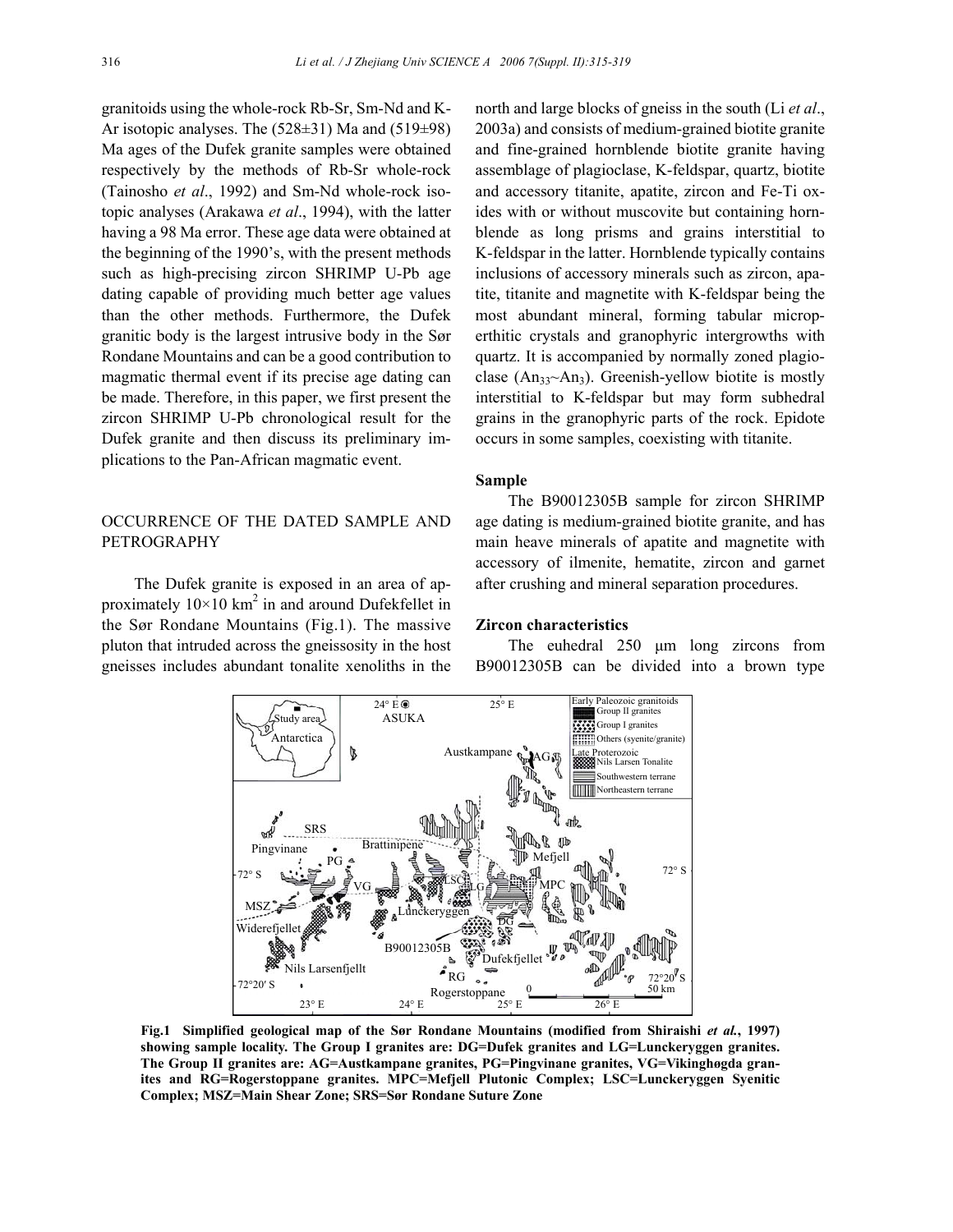granitoids using the whole-rock Rb-Sr, Sm-Nd and K-Ar isotopic analyses. The  $(528±31)$  Ma and  $(519±98)$ Ma ages of the Dufek granite samples were obtained respectively by the methods of Rb-Sr whole-rock (Tainosho *et al*., 1992) and Sm-Nd whole-rock isotopic analyses (Arakawa *et al*., 1994), with the latter having a 98 Ma error. These age data were obtained at the beginning of the 1990's, with the present methods such as high-precising zircon SHRIMP U-Pb age dating capable of providing much better age values than the other methods. Furthermore, the Dufek granitic body is the largest intrusive body in the Sør Rondane Mountains and can be a good contribution to magmatic thermal event if its precise age dating can be made. Therefore, in this paper, we first present the zircon SHRIMP U-Pb chronological result for the Dufek granite and then discuss its preliminary implications to the Pan-African magmatic event.

## OCCURRENCE OF THE DATED SAMPLE AND **PETROGRAPHY**

The Dufek granite is exposed in an area of approximately  $10 \times 10$  km<sup>2</sup> in and around Dufekfellet in the Sør Rondane Mountains (Fig.1). The massive pluton that intruded across the gneissosity in the host gneisses includes abundant tonalite xenoliths in the

north and large blocks of gneiss in the south (Li *et al*., 2003a) and consists of medium-grained biotite granite and fine-grained hornblende biotite granite having assemblage of plagioclase, K-feldspar, quartz, biotite and accessory titanite, apatite, zircon and Fe-Ti oxides with or without muscovite but containing hornblende as long prisms and grains interstitial to K-feldspar in the latter. Hornblende typically contains inclusions of accessory minerals such as zircon, apatite, titanite and magnetite with K-feldspar being the most abundant mineral, forming tabular microperthitic crystals and granophyric intergrowths with quartz. It is accompanied by normally zoned plagioclase (An<sub>33</sub> $\sim$ An<sub>3</sub>). Greenish-yellow biotite is mostly interstitial to K-feldspar but may form subhedral grains in the granophyric parts of the rock. Epidote occurs in some samples, coexisting with titanite.

#### **Sample**

The B90012305B sample for zircon SHRIMP age dating is medium-grained biotite granite, and has main heave minerals of apatite and magnetite with accessory of ilmenite, hematite, zircon and garnet after crushing and mineral separation procedures.

## **Zircon characteristics**

The euhedral 250 µm long zircons from B90012305B can be divided into a brown type



**Fig.1 Simplified geological map of the Sør Rondane Mountains (modified from Shiraishi** *et al.***, 1997) showing sample locality. The Group I granites are: DG=Dufek granites and LG=Lunckeryggen granites. The Group II granites are: AG=Austkampane granites, PG=Pingvinane granites, VG=Vikinghøgda granites and RG=Rogerstoppane granites. MPC=Mefjell Plutonic Complex; LSC=Lunckeryggen Syenitic Complex; MSZ=Main Shear Zone; SRS=Sør Rondane Suture Zone**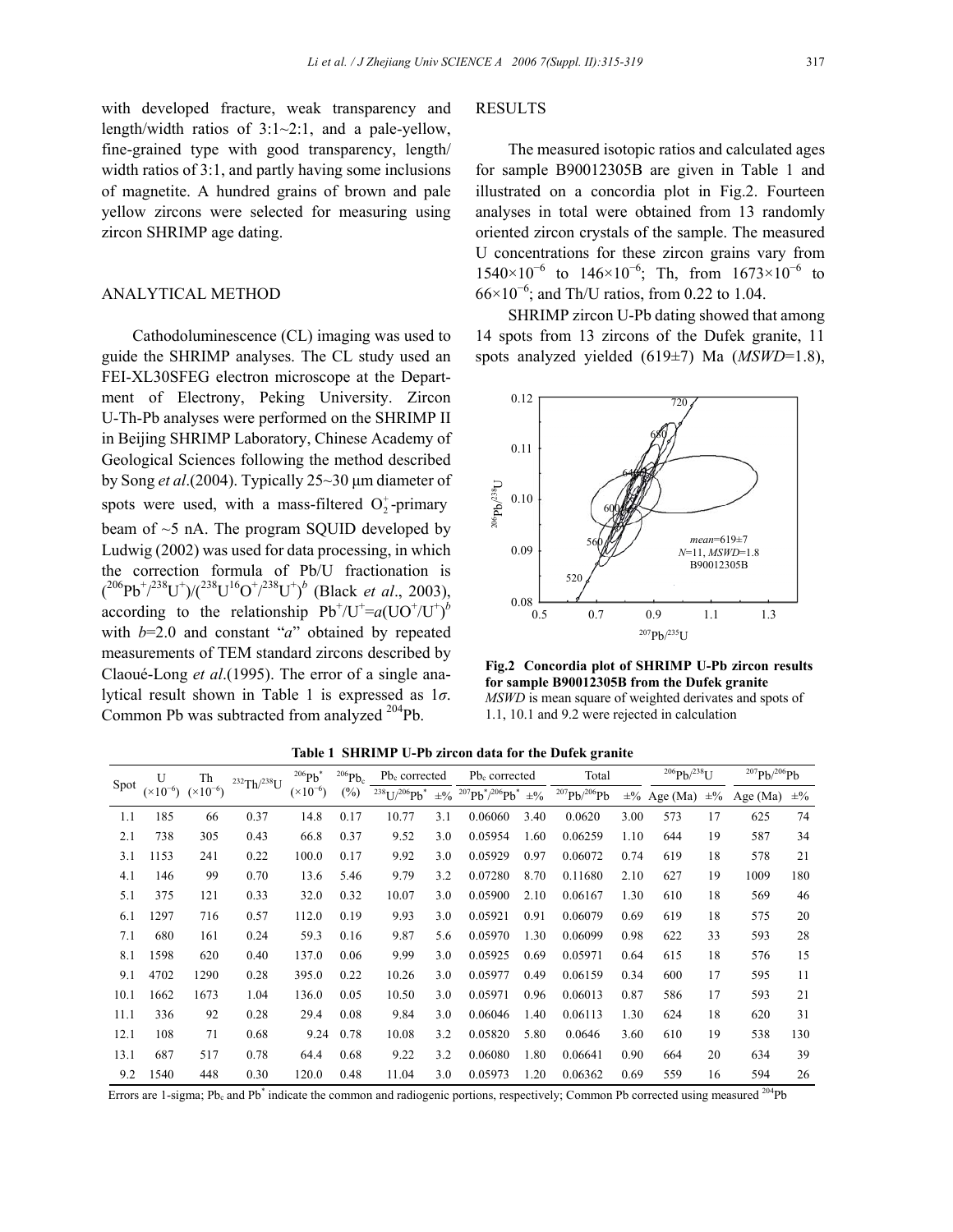with developed fracture, weak transparency and length/width ratios of 3:1~2:1, and a pale-yellow, fine-grained type with good transparency, length/ width ratios of 3:1, and partly having some inclusions of magnetite. A hundred grains of brown and pale yellow zircons were selected for measuring using zircon SHRIMP age dating.

## ANALYTICAL METHOD

Cathodoluminescence (CL) imaging was used to guide the SHRIMP analyses. The CL study used an FEI-XL30SFEG electron microscope at the Department of Electrony, Peking University. Zircon U-Th-Pb analyses were performed on the SHRIMP II in Beijing SHRIMP Laboratory, Chinese Academy of Geological Sciences following the method described by Song *et al*.(2004). Typically 25~30 µm diameter of spots were used, with a mass-filtered  $O_2^+$ -primary beam of ~5 nA. The program SQUID developed by Ludwig (2002) was used for data processing, in which the correction formula of Pb/U fractionation is  $({}^{206}Pb^{+}/^{238}U^{+})/({}^{238}U^{16}O^{+}/^{238}U^{+})^b$  (Black *et al.*, 2003), according to the relationship  $Pb^{+}/U^{+} = a(UO^{+}/U^{+})^{b}$ with  $b=2.0$  and constant "*a*" obtained by repeated measurements of TEM standard zircons described by Claoué-Long *et al*.(1995). The error of a single analytical result shown in Table 1 is expressed as 1*σ*. Common Pb was subtracted from analyzed <sup>204</sup>Pb.

#### RESULTS

The measured isotopic ratios and calculated ages for sample B90012305B are given in Table 1 and illustrated on a concordia plot in Fig.2. Fourteen analyses in total were obtained from 13 randomly oriented zircon crystals of the sample. The measured U concentrations for these zircon grains vary from 1540×10<sup>-6</sup> to 146×10<sup>-6</sup>; Th, from 1673×10<sup>-6</sup> to  $66 \times 10^{-6}$ ; and Th/U ratios, from 0.22 to 1.04.

SHRIMP zircon U-Pb dating showed that among 14 spots from 13 zircons of the Dufek granite, 11 spots analyzed yielded (619±7) Ma (*MSWD*=1.8),



**Fig.2 Concordia plot of SHRIMP U-Pb zircon results for sample B90012305B from the Dufek granite**  *MSWD* is mean square of weighted derivates and spots of 1.1, 10.1 and 9.2 were rejected in calculation

| Spot | $\mathbf{U}$<br>$(\times 10^{-6})$ | Th<br>$(x10^{-6})$ | $^{232}Th/^{238}U$ | 206Pb<br>$(\times 10^{-6})$ | $^{206}Pb_c$<br>$(\%)$ | Pb <sub>c</sub> corrected            |                  | Pb <sub>c</sub> corrected |                  | Total               |         | $^{206}Pb/^{238}U$ |         | $^{207}Pb/^{206}Pb$ |         |
|------|------------------------------------|--------------------|--------------------|-----------------------------|------------------------|--------------------------------------|------------------|---------------------------|------------------|---------------------|---------|--------------------|---------|---------------------|---------|
|      |                                    |                    |                    |                             |                        | $^{238}$ U/ $^{206}$ Pb <sup>*</sup> | $\pm\frac{0}{0}$ | $^{207}Pb^{*/206}Pb^{*}$  | $\pm\frac{0}{0}$ | $^{207}Pb/^{206}Pb$ | $\pm\%$ | Age $(Ma)$         | $\pm\%$ | Age $(Ma)$          | $\pm\%$ |
| 1.1  | 185                                | 66                 | 0.37               | 14.8                        | 0.17                   | 10.77                                | 3.1              | 0.06060                   | 3.40             | 0.0620              | 3.00    | 573                | 17      | 625                 | 74      |
| 2.1  | 738                                | 305                | 0.43               | 66.8                        | 0.37                   | 9.52                                 | 3.0              | 0.05954                   | 1.60             | 0.06259             | 1.10    | 644                | 19      | 587                 | 34      |
| 3.1  | 1153                               | 241                | 0.22               | 100.0                       | 0.17                   | 9.92                                 | 3.0              | 0.05929                   | 0.97             | 0.06072             | 0.74    | 619                | 18      | 578                 | 21      |
| 4.1  | 146                                | 99                 | 0.70               | 13.6                        | 5.46                   | 9.79                                 | 3.2              | 0.07280                   | 8.70             | 0.11680             | 2.10    | 627                | 19      | 1009                | 180     |
| 5.1  | 375                                | 121                | 0.33               | 32.0                        | 0.32                   | 10.07                                | 3.0              | 0.05900                   | 2.10             | 0.06167             | 1.30    | 610                | 18      | 569                 | 46      |
| 6.1  | 1297                               | 716                | 0.57               | 112.0                       | 0.19                   | 9.93                                 | 3.0              | 0.05921                   | 0.91             | 0.06079             | 0.69    | 619                | 18      | 575                 | 20      |
| 7.1  | 680                                | 161                | 0.24               | 59.3                        | 0.16                   | 9.87                                 | 5.6              | 0.05970                   | 1.30             | 0.06099             | 0.98    | 622                | 33      | 593                 | 28      |
| 8.1  | 1598                               | 620                | 0.40               | 137.0                       | 0.06                   | 9.99                                 | 3.0              | 0.05925                   | 0.69             | 0.05971             | 0.64    | 615                | 18      | 576                 | 15      |
| 9.1  | 4702                               | 1290               | 0.28               | 395.0                       | 0.22                   | 10.26                                | 3.0              | 0.05977                   | 0.49             | 0.06159             | 0.34    | 600                | 17      | 595                 | 11      |
| 10.1 | 1662                               | 1673               | 1.04               | 136.0                       | 0.05                   | 10.50                                | 3.0              | 0.05971                   | 0.96             | 0.06013             | 0.87    | 586                | 17      | 593                 | 21      |
| 11.1 | 336                                | 92                 | 0.28               | 29.4                        | 0.08                   | 9.84                                 | 3.0              | 0.06046                   | 1.40             | 0.06113             | 1.30    | 624                | 18      | 620                 | 31      |
| 12.1 | 108                                | 71                 | 0.68               | 9.24                        | 0.78                   | 10.08                                | 3.2              | 0.05820                   | 5.80             | 0.0646              | 3.60    | 610                | 19      | 538                 | 130     |
| 13.1 | 687                                | 517                | 0.78               | 64.4                        | 0.68                   | 9.22                                 | 3.2              | 0.06080                   | 1.80             | 0.06641             | 0.90    | 664                | 20      | 634                 | 39      |
| 9.2  | 1540                               | 448                | 0.30               | 120.0                       | 0.48                   | 11.04                                | 3.0              | 0.05973                   | 1.20             | 0.06362             | 0.69    | 559                | 16      | 594                 | 26      |

**Table 1 SHRIMP U-Pb zircon data for the Dufek granite** 

Errors are 1-sigma; Pb<sub>c</sub> and Pb<sup>\*</sup> indicate the common and radiogenic portions, respectively; Common Pb corrected using measured <sup>204</sup>Pb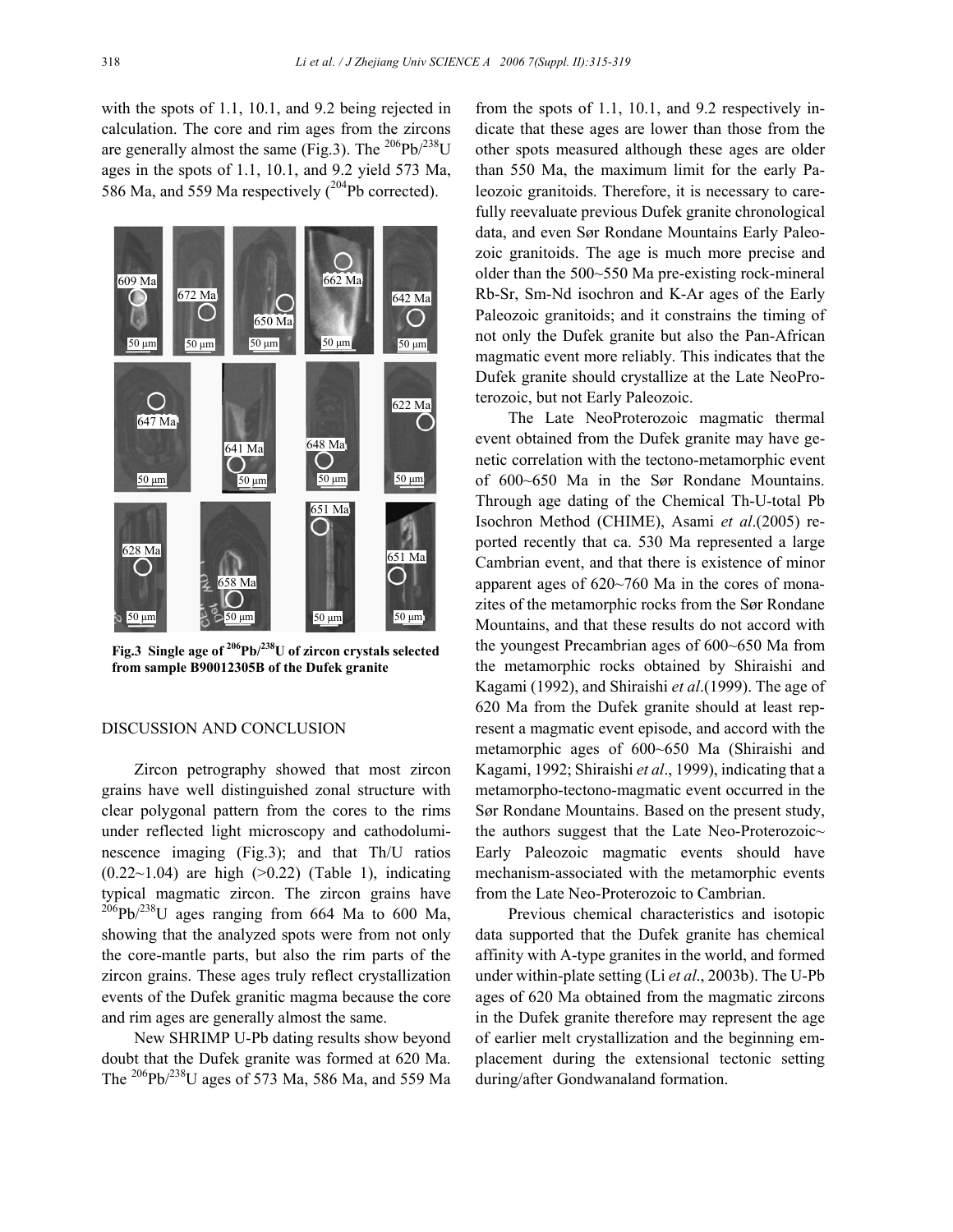with the spots of 1.1, 10.1, and 9.2 being rejected in calculation. The core and rim ages from the zircons are generally almost the same (Fig.3). The  $^{206}Pb^{238}U$ ages in the spots of 1.1, 10.1, and 9.2 yield 573 Ma, 586 Ma, and 559 Ma respectively  $(^{204}Pb$  corrected).



**Fig.3 Single age of 206Pb/238U of zircon crystals selected from sample B90012305B of the Dufek granite** 

## DISCUSSION AND CONCLUSION

Zircon petrography showed that most zircon grains have well distinguished zonal structure with clear polygonal pattern from the cores to the rims under reflected light microscopy and cathodoluminescence imaging (Fig.3); and that Th/U ratios  $(0.22~1.04)$  are high  $(>0.22)$  (Table 1), indicating typical magmatic zircon. The zircon grains have  $^{206}$ Pb/<sup>238</sup>U ages ranging from 664 Ma to 600 Ma, showing that the analyzed spots were from not only the core-mantle parts, but also the rim parts of the zircon grains. These ages truly reflect crystallization events of the Dufek granitic magma because the core and rim ages are generally almost the same.

New SHRIMP U-Pb dating results show beyond doubt that the Dufek granite was formed at 620 Ma. The  $^{206}Pb^{238}$ U ages of 573 Ma, 586 Ma, and 559 Ma

from the spots of 1.1, 10.1, and 9.2 respectively indicate that these ages are lower than those from the other spots measured although these ages are older than 550 Ma, the maximum limit for the early Paleozoic granitoids. Therefore, it is necessary to carefully reevaluate previous Dufek granite chronological data, and even Sør Rondane Mountains Early Paleozoic granitoids. The age is much more precise and older than the 500~550 Ma pre-existing rock-mineral Rb-Sr, Sm-Nd isochron and K-Ar ages of the Early Paleozoic granitoids; and it constrains the timing of not only the Dufek granite but also the Pan-African magmatic event more reliably. This indicates that the Dufek granite should crystallize at the Late NeoProterozoic, but not Early Paleozoic.

The Late NeoProterozoic magmatic thermal event obtained from the Dufek granite may have genetic correlation with the tectono-metamorphic event of 600~650 Ma in the Sør Rondane Mountains. Through age dating of the Chemical Th-U-total Pb Isochron Method (CHIME), Asami *et al*.(2005) reported recently that ca. 530 Ma represented a large Cambrian event, and that there is existence of minor apparent ages of 620~760 Ma in the cores of monazites of the metamorphic rocks from the Sør Rondane Mountains, and that these results do not accord with the youngest Precambrian ages of 600~650 Ma from the metamorphic rocks obtained by Shiraishi and Kagami (1992), and Shiraishi *et al*.(1999). The age of 620 Ma from the Dufek granite should at least represent a magmatic event episode, and accord with the metamorphic ages of 600~650 Ma (Shiraishi and Kagami, 1992; Shiraishi *et al*., 1999), indicating that a metamorpho-tectono-magmatic event occurred in the Sør Rondane Mountains. Based on the present study, the authors suggest that the Late Neo-Proterozoic $\sim$ Early Paleozoic magmatic events should have mechanism-associated with the metamorphic events from the Late Neo-Proterozoic to Cambrian.

Previous chemical characteristics and isotopic data supported that the Dufek granite has chemical affinity with A-type granites in the world, and formed under within-plate setting (Li *et al*., 2003b). The U-Pb ages of 620 Ma obtained from the magmatic zircons in the Dufek granite therefore may represent the age of earlier melt crystallization and the beginning emplacement during the extensional tectonic setting during/after Gondwanaland formation.